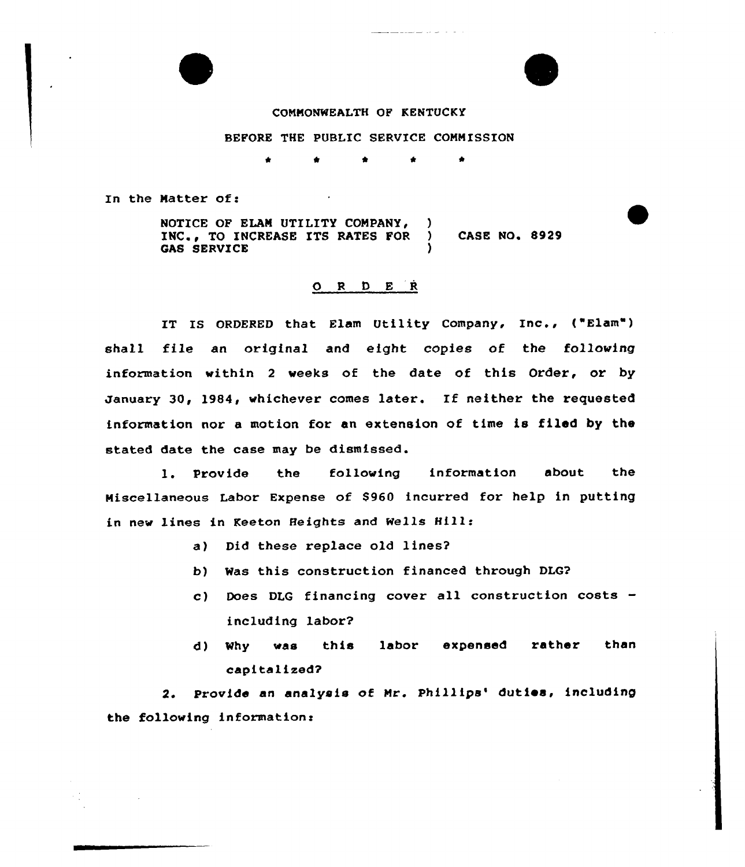## CONNONWEALTH OF KENTUCKY

## BEFORE THE PUBLIC SERVICE COMMISSION

t \*

In the Natter of:

NOTICE OF ELAM UTILITY COMPANY, INC., TO INCREASE ITS RATES FOR ) CASE NO. 8929 **GAS SERVICE** 

## 0 <sup>R</sup> <sup>D</sup> <sup>E</sup> <sup>R</sup>

IT IS ORDERED that Elam Utility Company, Inc., ("Elam") shall file an original and eight copies of the following information within <sup>2</sup> weeks of the date of this Order, or by January 30, 1984, whichever comes later. If neither the requested information nor a motion for an extension of time is filed by the stated date the case may be dismissed.

1. Provide the following information about the Miscellaneous Labor Expense of \$960 incurred for help in putting in new lines in Keeton Heights and wells Hill:

- a) Did these replace old lines2
- b) Was this construction financed through DLG?
- c) Does DLG financing cover all construction costs including labor2
- d) Why was this labor expensed rather than capitalized?

2. Provide an analysis of Mr. Phillips' duties, including the following information: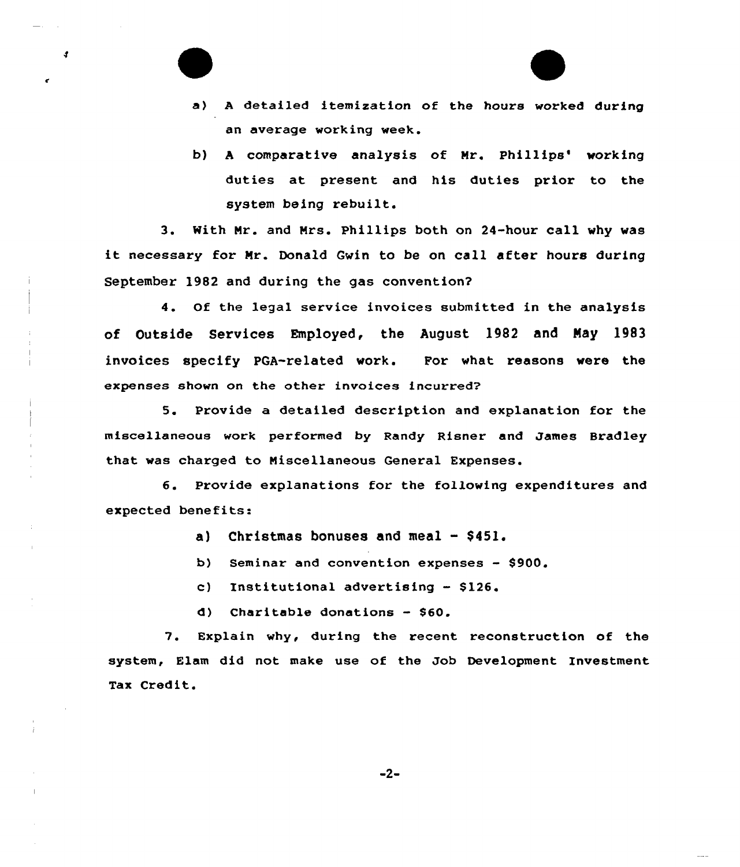- a) <sup>A</sup> detailed itemixation of the hours worked during an average working week.
- b) A comparative analysis of Mr. Phillips' working duties at present and his duties prior to the system being rebuilt.

3. With Nr. and Nrs. Phillips both on 24-hour call why was it necessary for Nr. Donald Gwin to be on call after hours during September 19B2 and during the gas convention?

4. Of the legal service invoices submitted in the analysis of Outside Services Employed, the August 1982 and Nay 1983 invoices specify PGA-related work. For what reasons were the expenses shown on the other invoices incurred?

5. Provide a detailed description and explanation for the miscellaneous work performed by Randy Risner and James Bradley that was charged to Niscellaneous General Expenses.

6. Provide explanations for the following expenditures and expected benefits:

- a) Christmas bonuses and meal \$451.
- b) Seminar and convention expenses \$900.
- c) Institutional advertising \$126.
- d) Charitable donations \$60.

7. Explain why, during the recent reconstruction of the system, Elam did not make use of the Job Development Investment Tax Credit.

 $-2-$